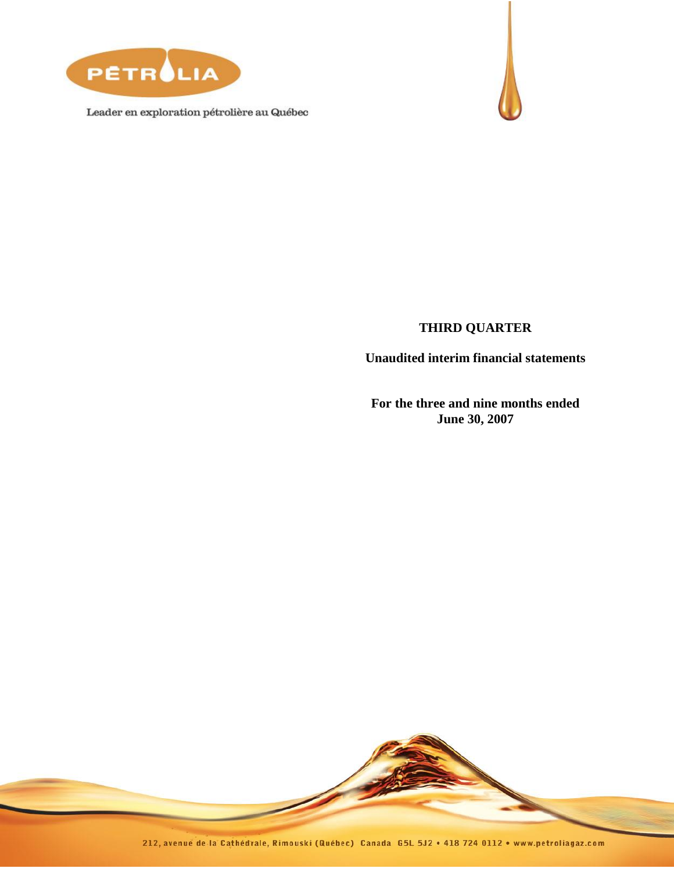

Leader en exploration pétrolière au Québec



## **THIRD QUARTER**

**Unaudited interim financial statements**

**For the three and nine months ended June 30, 2007**

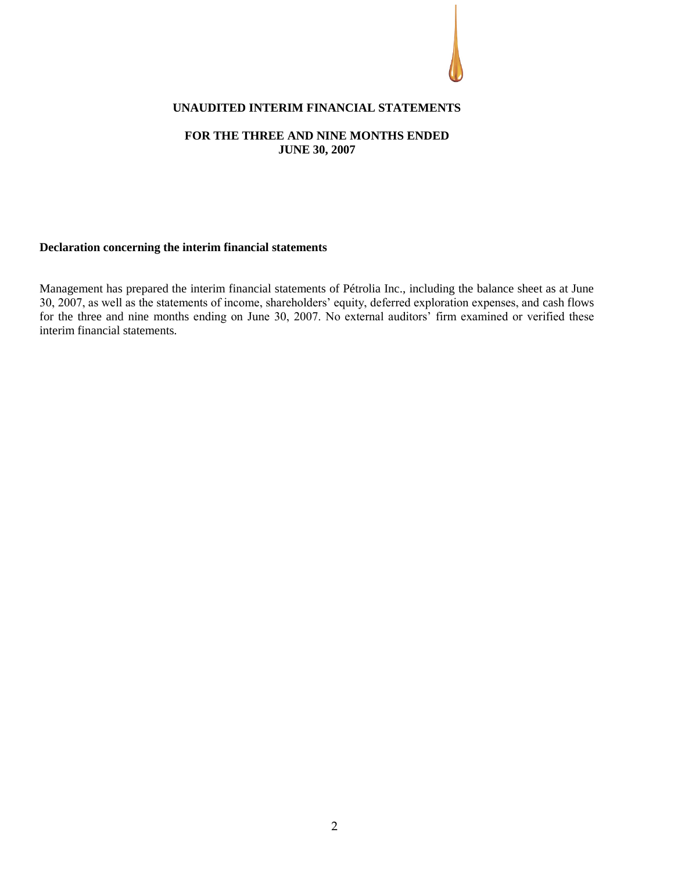

### **UNAUDITED INTERIM FINANCIAL STATEMENTS**

#### **FOR THE THREE AND NINE MONTHS ENDED JUNE 30, 2007**

#### **Declaration concerning the interim financial statements**

Management has prepared the interim financial statements of Pétrolia Inc., including the balance sheet as at June 30, 2007, as well as the statements of income, shareholders' equity, deferred exploration expenses, and cash flows for the three and nine months ending on June 30, 2007. No external auditors' firm examined or verified these interim financial statements.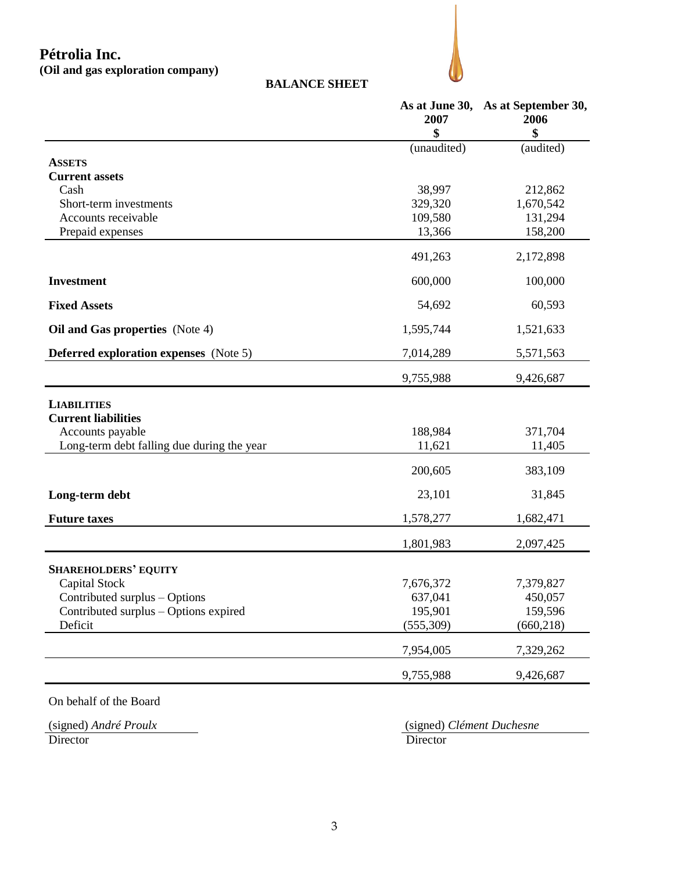# **Pétrolia Inc.**

**(Oil and gas exploration company)**



|                                               | As at June 30,<br>2007 | As at September 30,<br>2006 |
|-----------------------------------------------|------------------------|-----------------------------|
|                                               | \$<br>(unaudited)      | \$<br>(audited)             |
| <b>ASSETS</b>                                 |                        |                             |
| <b>Current assets</b>                         |                        |                             |
| Cash                                          | 38,997                 | 212,862                     |
| Short-term investments                        | 329,320                | 1,670,542                   |
| Accounts receivable                           | 109,580                | 131,294                     |
| Prepaid expenses                              | 13,366                 | 158,200                     |
|                                               | 491,263                | 2,172,898                   |
| <b>Investment</b>                             | 600,000                | 100,000                     |
| <b>Fixed Assets</b>                           | 54,692                 | 60,593                      |
| Oil and Gas properties (Note 4)               | 1,595,744              | 1,521,633                   |
| <b>Deferred exploration expenses</b> (Note 5) | 7,014,289              | 5,571,563                   |
|                                               | 9,755,988              | 9,426,687                   |
| <b>LIABILITIES</b>                            |                        |                             |
| <b>Current liabilities</b>                    |                        |                             |
| Accounts payable                              | 188,984                | 371,704                     |
| Long-term debt falling due during the year    | 11,621                 | 11,405                      |
|                                               | 200,605                | 383,109                     |
| Long-term debt                                | 23,101                 | 31,845                      |
| <b>Future taxes</b>                           | 1,578,277              | 1,682,471                   |
|                                               | 1,801,983              | 2,097,425                   |
| <b>SHAREHOLDERS' EQUITY</b>                   |                        |                             |
| Capital Stock                                 | 7,676,372              | 7,379,827                   |
| Contributed surplus – Options                 | 637,041                | 450,057                     |
| Contributed surplus - Options expired         | 195,901                | 159,596                     |
| Deficit                                       | (555,309)              | (660, 218)                  |
|                                               | 7,954,005              | 7,329,262                   |
|                                               | 9,755,988              | 9,426,687                   |

**BALANCE SHEET**

On behalf of the Board

(signed) *André Proulx* (signed) *Clément Duchesne* Director Director Director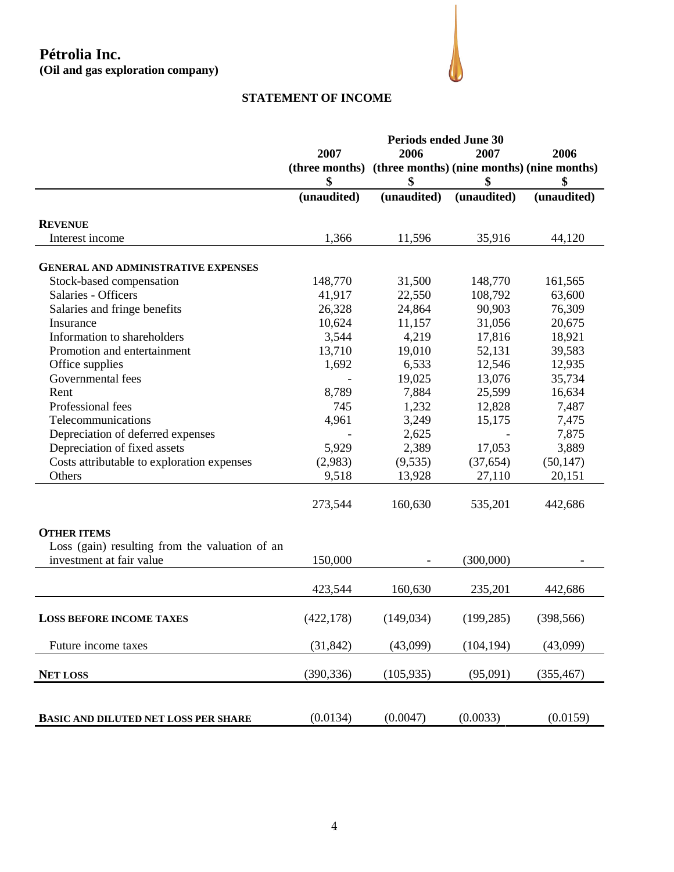# **Pétrolia Inc. (Oil and gas exploration company)**



## **STATEMENT OF INCOME**

|                                                | <b>Periods ended June 30</b> |             |                                            |             |
|------------------------------------------------|------------------------------|-------------|--------------------------------------------|-------------|
|                                                | 2007                         | 2006        | 2007                                       | 2006        |
|                                                | (three months)               |             | (three months) (nine months) (nine months) |             |
|                                                | \$                           | \$          | \$                                         | \$          |
|                                                | (unaudited)                  | (unaudited) | (unaudited)                                | (unaudited) |
| <b>REVENUE</b>                                 |                              |             |                                            |             |
| Interest income                                | 1,366                        | 11,596      | 35,916                                     | 44,120      |
| <b>GENERAL AND ADMINISTRATIVE EXPENSES</b>     |                              |             |                                            |             |
| Stock-based compensation                       | 148,770                      | 31,500      | 148,770                                    | 161,565     |
| Salaries - Officers                            | 41,917                       | 22,550      | 108,792                                    | 63,600      |
| Salaries and fringe benefits                   | 26,328                       | 24,864      | 90,903                                     | 76,309      |
| Insurance                                      | 10,624                       | 11,157      | 31,056                                     | 20,675      |
| Information to shareholders                    | 3,544                        | 4,219       | 17,816                                     | 18,921      |
| Promotion and entertainment                    | 13,710                       | 19,010      | 52,131                                     | 39,583      |
| Office supplies                                | 1,692                        | 6,533       | 12,546                                     | 12,935      |
| Governmental fees                              |                              | 19,025      | 13,076                                     | 35,734      |
| Rent                                           | 8,789                        | 7,884       | 25,599                                     | 16,634      |
| Professional fees                              | 745                          | 1,232       | 12,828                                     | 7,487       |
| Telecommunications                             | 4,961                        | 3,249       | 15,175                                     | 7,475       |
| Depreciation of deferred expenses              |                              | 2,625       |                                            | 7,875       |
| Depreciation of fixed assets                   | 5,929                        | 2,389       | 17,053                                     | 3,889       |
| Costs attributable to exploration expenses     | (2,983)                      | (9, 535)    | (37, 654)                                  | (50, 147)   |
| Others                                         | 9,518                        | 13,928      | 27,110                                     | 20,151      |
|                                                |                              |             |                                            |             |
|                                                | 273,544                      | 160,630     | 535,201                                    | 442,686     |
| <b>OTHER ITEMS</b>                             |                              |             |                                            |             |
| Loss (gain) resulting from the valuation of an |                              |             |                                            |             |
| investment at fair value                       | 150,000                      |             | (300,000)                                  |             |
|                                                |                              |             |                                            |             |
|                                                | 423,544                      | 160,630     | 235,201                                    | 442,686     |
| <b>LOSS BEFORE INCOME TAXES</b>                | (422, 178)                   | (149, 034)  | (199, 285)                                 | (398, 566)  |
| Future income taxes                            | (31, 842)                    | (43,099)    | (104, 194)                                 | (43,099)    |
| <b>NET LOSS</b>                                | (390, 336)                   | (105, 935)  | (95,091)                                   | (355, 467)  |
|                                                |                              |             |                                            |             |
| <b>BASIC AND DILUTED NET LOSS PER SHARE</b>    | (0.0134)                     | (0.0047)    | (0.0033)                                   | (0.0159)    |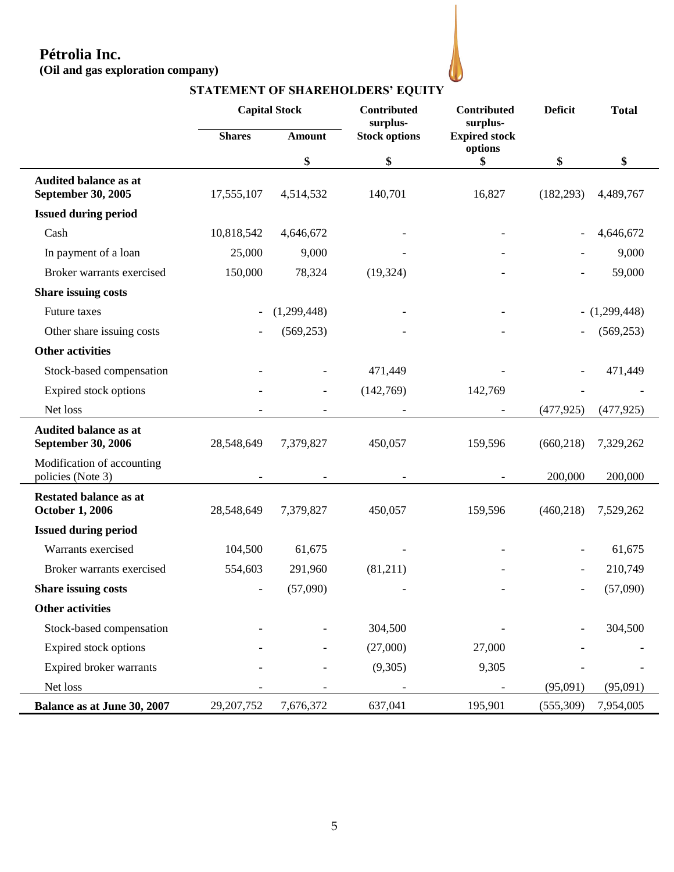# **Pétrolia Inc.**

**(Oil and gas exploration company)**

|                                                           |               | <b>Capital Stock</b><br>Contributed<br>surplus- |                      | Contributed<br>surplus-         | <b>Deficit</b> | <b>Total</b>    |
|-----------------------------------------------------------|---------------|-------------------------------------------------|----------------------|---------------------------------|----------------|-----------------|
|                                                           | <b>Shares</b> | <b>Amount</b>                                   | <b>Stock options</b> | <b>Expired stock</b><br>options |                |                 |
|                                                           |               | \$                                              | \$                   | \$                              | \$             | \$              |
| <b>Audited balance as at</b><br>September 30, 2005        | 17,555,107    | 4,514,532                                       | 140,701              | 16,827                          | (182, 293)     | 4,489,767       |
| <b>Issued during period</b>                               |               |                                                 |                      |                                 |                |                 |
| Cash                                                      | 10,818,542    | 4,646,672                                       |                      |                                 |                | 4,646,672       |
| In payment of a loan                                      | 25,000        | 9,000                                           |                      |                                 |                | 9,000           |
| Broker warrants exercised                                 | 150,000       | 78,324                                          | (19, 324)            |                                 |                | 59,000          |
| Share issuing costs                                       |               |                                                 |                      |                                 |                |                 |
| Future taxes                                              |               | (1,299,448)                                     |                      |                                 |                | $- (1,299,448)$ |
| Other share issuing costs                                 |               | (569, 253)                                      |                      |                                 |                | (569, 253)      |
| <b>Other activities</b>                                   |               |                                                 |                      |                                 |                |                 |
| Stock-based compensation                                  |               |                                                 | 471,449              |                                 |                | 471,449         |
| Expired stock options                                     |               | $\overline{\phantom{a}}$                        | (142,769)            | 142,769                         |                |                 |
| Net loss                                                  |               |                                                 |                      |                                 | (477, 925)     | (477, 925)      |
| <b>Audited balance as at</b><br><b>September 30, 2006</b> | 28,548,649    | 7,379,827                                       | 450,057              | 159,596                         | (660, 218)     | 7,329,262       |
| Modification of accounting<br>policies (Note 3)           |               |                                                 |                      |                                 | 200,000        | 200,000         |
| <b>Restated balance as at</b><br><b>October 1, 2006</b>   | 28,548,649    | 7,379,827                                       | 450,057              | 159,596                         | (460, 218)     | 7,529,262       |
| <b>Issued during period</b>                               |               |                                                 |                      |                                 |                |                 |
| Warrants exercised                                        | 104,500       | 61,675                                          |                      |                                 |                | 61,675          |
| Broker warrants exercised                                 | 554,603       | 291,960                                         | (81,211)             |                                 |                | 210,749         |
| <b>Share issuing costs</b>                                |               | (57,090)                                        |                      |                                 |                | (57,090)        |
| <b>Other activities</b>                                   |               |                                                 |                      |                                 |                |                 |
| Stock-based compensation                                  |               |                                                 | 304,500              |                                 |                | 304,500         |
| Expired stock options                                     |               |                                                 | (27,000)             | 27,000                          |                |                 |
| Expired broker warrants                                   |               |                                                 | (9,305)              | 9,305                           |                |                 |
| Net loss                                                  |               |                                                 |                      |                                 | (95,091)       | (95,091)        |
| Balance as at June 30, 2007                               | 29, 207, 752  | 7,676,372                                       | 637,041              | 195,901                         | (555,309)      | 7,954,005       |

**STATEMENT OF SHAREHOLDERS' EQUITY**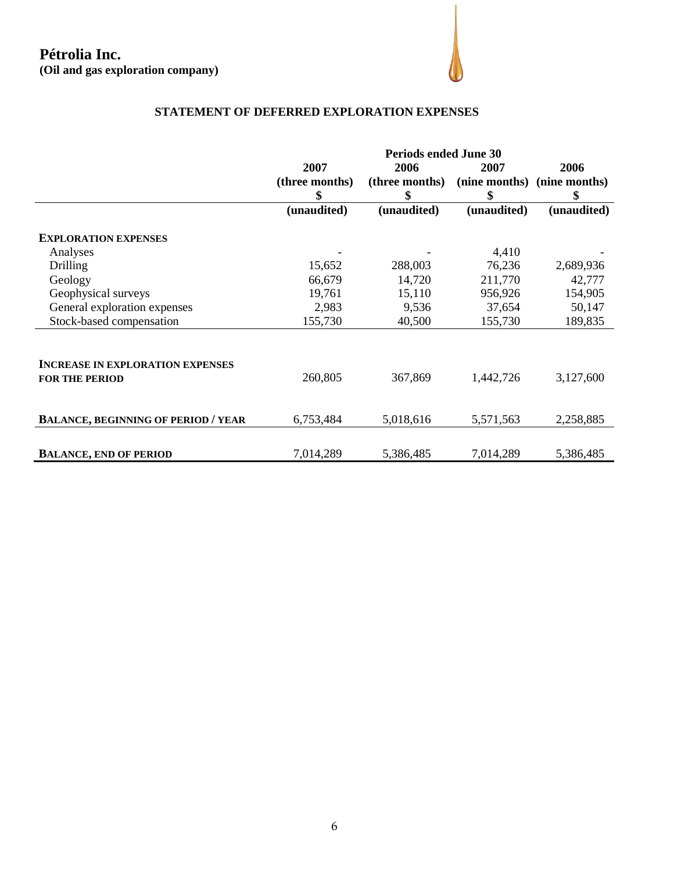# **Pétrolia Inc. (Oil and gas exploration company)**



# **STATEMENT OF DEFERRED EXPLORATION EXPENSES**

|                                                                  | <b>Periods ended June 30</b> |                |             |                             |
|------------------------------------------------------------------|------------------------------|----------------|-------------|-----------------------------|
|                                                                  | 2007                         | 2006           | 2007        | 2006                        |
|                                                                  | (three months)               | (three months) |             | (nine months) (nine months) |
|                                                                  | \$                           | \$             | \$          | \$                          |
|                                                                  | (unaudited)                  | (unaudited)    | (unaudited) | (unaudited)                 |
| <b>EXPLORATION EXPENSES</b>                                      |                              |                |             |                             |
| Analyses                                                         |                              |                | 4,410       |                             |
| <b>Drilling</b>                                                  | 15,652                       | 288,003        | 76,236      | 2,689,936                   |
| Geology                                                          | 66,679                       | 14,720         | 211,770     | 42,777                      |
| Geophysical surveys                                              | 19,761                       | 15,110         | 956,926     | 154,905                     |
| General exploration expenses                                     | 2,983                        | 9,536          | 37,654      | 50,147                      |
| Stock-based compensation                                         | 155,730                      | 40,500         | 155,730     | 189,835                     |
| <b>INCREASE IN EXPLORATION EXPENSES</b><br><b>FOR THE PERIOD</b> | 260,805                      | 367,869        | 1,442,726   | 3,127,600                   |
| <b>BALANCE, BEGINNING OF PERIOD / YEAR</b>                       | 6,753,484                    | 5,018,616      | 5,571,563   | 2,258,885                   |
| <b>BALANCE, END OF PERIOD</b>                                    | 7,014,289                    | 5,386,485      | 7,014,289   | 5,386,485                   |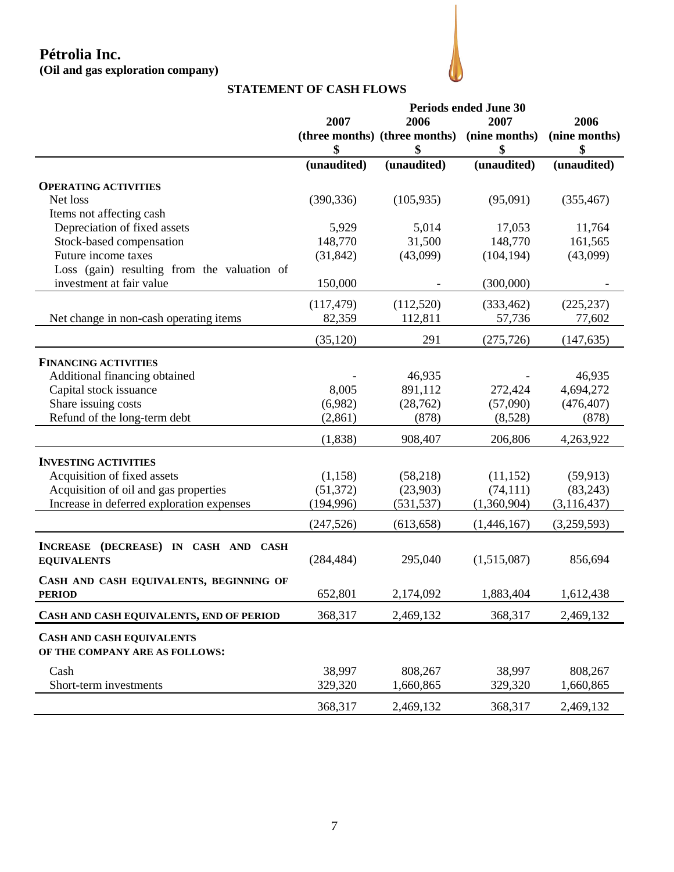# **Pétrolia Inc. (Oil and gas exploration company)**



## **STATEMENT OF CASH FLOWS**

|                                                                    | <b>Periods ended June 30</b> |                               |               |               |
|--------------------------------------------------------------------|------------------------------|-------------------------------|---------------|---------------|
|                                                                    | 2007                         | 2006                          | 2007          | 2006          |
|                                                                    |                              | (three months) (three months) | (nine months) | (nine months) |
|                                                                    | \$                           |                               | \$            | \$            |
|                                                                    | (unaudited)                  | (unaudited)                   | (unaudited)   | (unaudited)   |
| <b>OPERATING ACTIVITIES</b>                                        |                              |                               |               |               |
| Net loss                                                           | (390, 336)                   | (105, 935)                    | (95,091)      | (355, 467)    |
| Items not affecting cash                                           |                              |                               |               |               |
| Depreciation of fixed assets                                       | 5,929                        | 5,014                         | 17,053        | 11,764        |
| Stock-based compensation                                           | 148,770                      | 31,500                        | 148,770       | 161,565       |
| Future income taxes                                                | (31, 842)                    | (43,099)                      | (104, 194)    | (43,099)      |
| Loss (gain) resulting from the valuation of                        |                              |                               |               |               |
| investment at fair value                                           | 150,000                      |                               | (300,000)     |               |
|                                                                    | (117, 479)                   | (112,520)                     | (333, 462)    | (225, 237)    |
| Net change in non-cash operating items                             | 82,359                       | 112,811                       | 57,736        | 77,602        |
|                                                                    | (35, 120)                    | 291                           | (275, 726)    | (147, 635)    |
| <b>FINANCING ACTIVITIES</b>                                        |                              |                               |               |               |
| Additional financing obtained                                      |                              | 46,935                        |               | 46,935        |
| Capital stock issuance                                             | 8,005                        | 891,112                       | 272,424       | 4,694,272     |
| Share issuing costs                                                | (6,982)                      | (28, 762)                     | (57,090)      | (476, 407)    |
| Refund of the long-term debt                                       | (2, 861)                     | (878)                         | (8,528)       | (878)         |
|                                                                    | (1,838)                      | 908,407                       | 206,806       | 4,263,922     |
| <b>INVESTING ACTIVITIES</b>                                        |                              |                               |               |               |
| Acquisition of fixed assets                                        | (1,158)                      | (58,218)                      | (11, 152)     | (59, 913)     |
| Acquisition of oil and gas properties                              | (51, 372)                    | (23,903)                      | (74, 111)     | (83,243)      |
| Increase in deferred exploration expenses                          | (194, 996)                   | (531, 537)                    | (1,360,904)   | (3, 116, 437) |
|                                                                    | (247, 526)                   | (613, 658)                    | (1,446,167)   | (3,259,593)   |
|                                                                    |                              |                               |               |               |
| INCREASE (DECREASE) IN CASH AND CASH                               |                              |                               |               |               |
| <b>EQUIVALENTS</b>                                                 | (284, 484)                   | 295,040                       | (1,515,087)   | 856,694       |
| CASH AND CASH EQUIVALENTS, BEGINNING OF                            |                              |                               |               |               |
| <b>PERIOD</b>                                                      | 652,801                      | 2,174,092                     | 1,883,404     | 1,612,438     |
| CASH AND CASH EQUIVALENTS, END OF PERIOD                           | 368,317                      | 2,469,132                     | 368,317       | 2,469,132     |
| <b>CASH AND CASH EQUIVALENTS</b><br>OF THE COMPANY ARE AS FOLLOWS: |                              |                               |               |               |
| Cash                                                               | 38,997                       | 808,267                       | 38,997        | 808,267       |
| Short-term investments                                             | 329,320                      | 1,660,865                     | 329,320       | 1,660,865     |
|                                                                    | 368,317                      | 2,469,132                     | 368,317       | 2,469,132     |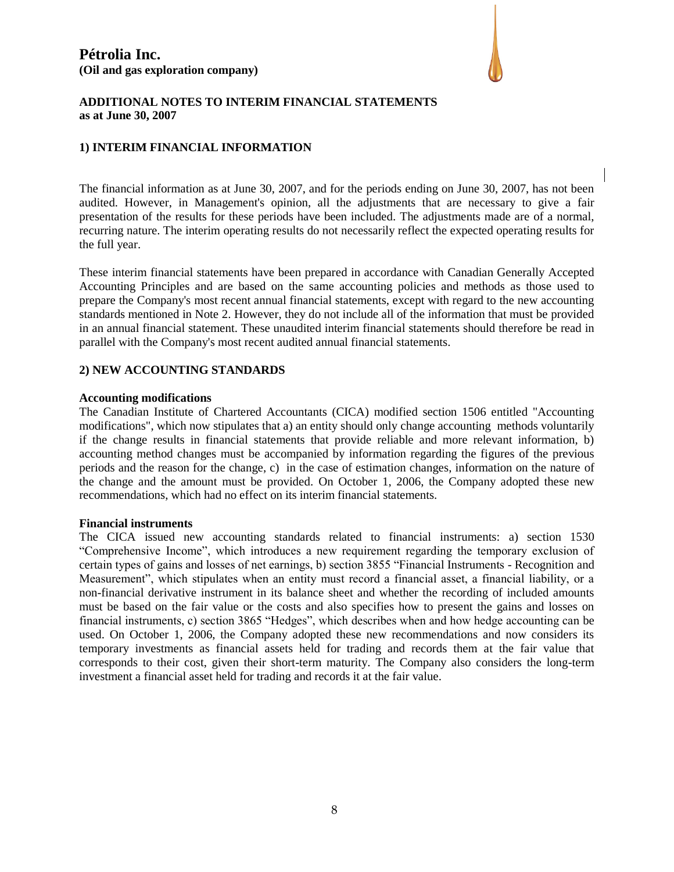

### **ADDITIONAL NOTES TO INTERIM FINANCIAL STATEMENTS as at June 30, 2007**

### **1) INTERIM FINANCIAL INFORMATION**

The financial information as at June 30, 2007, and for the periods ending on June 30, 2007, has not been audited. However, in Management's opinion, all the adjustments that are necessary to give a fair presentation of the results for these periods have been included. The adjustments made are of a normal, recurring nature. The interim operating results do not necessarily reflect the expected operating results for the full year.

These interim financial statements have been prepared in accordance with Canadian Generally Accepted Accounting Principles and are based on the same accounting policies and methods as those used to prepare the Company's most recent annual financial statements, except with regard to the new accounting standards mentioned in Note 2. However, they do not include all of the information that must be provided in an annual financial statement. These unaudited interim financial statements should therefore be read in parallel with the Company's most recent audited annual financial statements.

#### **2) NEW ACCOUNTING STANDARDS**

#### **Accounting modifications**

The Canadian Institute of Chartered Accountants (CICA) modified section 1506 entitled "Accounting modifications", which now stipulates that a) an entity should only change accounting methods voluntarily if the change results in financial statements that provide reliable and more relevant information, b) accounting method changes must be accompanied by information regarding the figures of the previous periods and the reason for the change, c) in the case of estimation changes, information on the nature of the change and the amount must be provided. On October 1, 2006, the Company adopted these new recommendations, which had no effect on its interim financial statements.

#### **Financial instruments**

The CICA issued new accounting standards related to financial instruments: a) section 1530 "Comprehensive Income", which introduces a new requirement regarding the temporary exclusion of certain types of gains and losses of net earnings, b) section 3855 "Financial Instruments - Recognition and Measurement", which stipulates when an entity must record a financial asset, a financial liability, or a non-financial derivative instrument in its balance sheet and whether the recording of included amounts must be based on the fair value or the costs and also specifies how to present the gains and losses on financial instruments, c) section 3865 "Hedges", which describes when and how hedge accounting can be used. On October 1, 2006, the Company adopted these new recommendations and now considers its temporary investments as financial assets held for trading and records them at the fair value that corresponds to their cost, given their short-term maturity. The Company also considers the long-term investment a financial asset held for trading and records it at the fair value.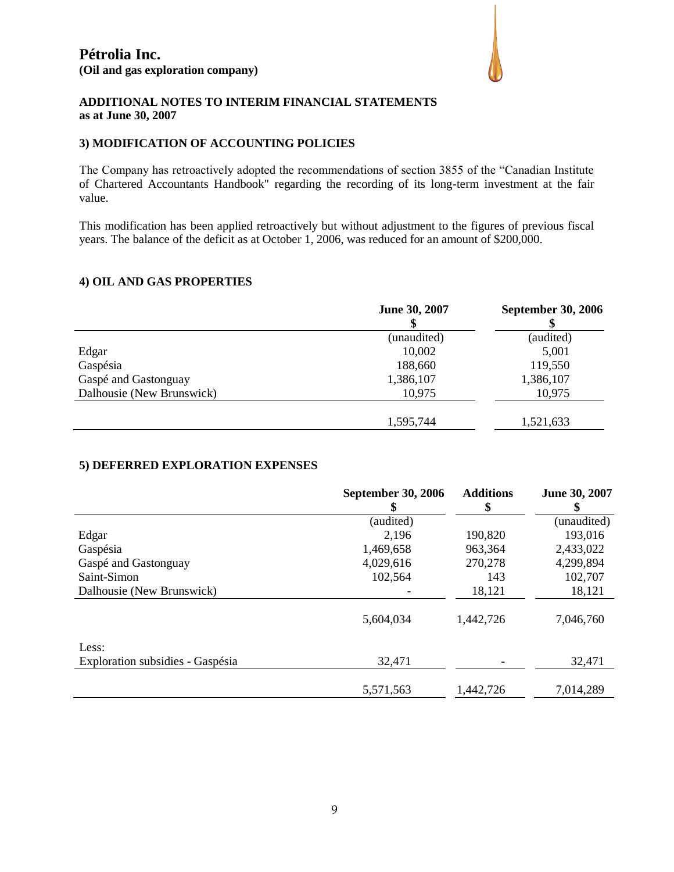

### **ADDITIONAL NOTES TO INTERIM FINANCIAL STATEMENTS as at June 30, 2007**

### **3) MODIFICATION OF ACCOUNTING POLICIES**

The Company has retroactively adopted the recommendations of section 3855 of the "Canadian Institute of Chartered Accountants Handbook" regarding the recording of its long-term investment at the fair value.

This modification has been applied retroactively but without adjustment to the figures of previous fiscal years. The balance of the deficit as at October 1, 2006, was reduced for an amount of \$200,000.

### **4) OIL AND GAS PROPERTIES**

|                           | June 30, 2007 | <b>September 30, 2006</b> |
|---------------------------|---------------|---------------------------|
|                           | (unaudited)   | (audited)                 |
| Edgar                     | 10,002        | 5,001                     |
| Gaspésia                  | 188,660       | 119,550                   |
| Gaspé and Gastonguay      | 1,386,107     | 1,386,107                 |
| Dalhousie (New Brunswick) | 10,975        | 10,975                    |
|                           | 1,595,744     | 1,521,633                 |

#### **5) DEFERRED EXPLORATION EXPENSES**

|                                  | <b>September 30, 2006</b><br>\$ | <b>Additions</b><br>\$ | June 30, 2007 |
|----------------------------------|---------------------------------|------------------------|---------------|
|                                  | (audited)                       |                        | (unaudited)   |
| Edgar                            | 2,196                           | 190,820                | 193,016       |
| Gaspésia                         | 1,469,658                       | 963,364                | 2,433,022     |
| Gaspé and Gastonguay             | 4,029,616                       | 270,278                | 4,299,894     |
| Saint-Simon                      | 102,564                         | 143                    | 102,707       |
| Dalhousie (New Brunswick)        |                                 | 18,121                 | 18,121        |
|                                  | 5,604,034                       | 1,442,726              | 7,046,760     |
| Less:                            |                                 |                        |               |
| Exploration subsidies - Gaspésia | 32,471                          |                        | 32,471        |
|                                  | 5,571,563                       | 1,442,726              | 7,014,289     |